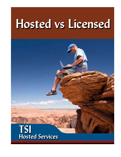# Hosted vs Licensed

# TSI<br>Hosted Services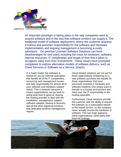

An important paradigm is taking place in the way companies want to acquire software and in the way that software vendors can supply it. The traditional model of software deployment, where the customer acquires a license and assumes responsibility for the software and hardware implementation and ongoing management is becoming a costly adventure. On-premise Licensed Software Solutions can have disadvantages for end users including the costs for hardware, software, internal resources, IT complexities and length of time that it takes to recognize value from their investments. These issues have prompted companies to explore alternative models of software delivery, such as Cloud Services or Software as a Service, (SaaS).

In a SaaS model, the software is hosted for you by external specialists that handle all of the IT complexities, resourcing and management issues and take responsibility for almost all of your software and hardware support needs. This is fantastic because it means organizations can go back to doing what they're good at, leaving the hosting provider to deal with the installation, management, support, software updates, backup & recovery and all the other logistical functions that dedicated systems management require.

Cloud Hosted solutions are not just for those organizations embarking on a new software purchase but equally for those organizations that have previously invested in hardware and software solutions who simply want to transfer to a hosted environment and hand over the IT responsibility to the hosting specialist.

Furthermore, Cloud solutions provide the customer with the ability to acquire the software as a subscription-based or fee based service, so the company never actually invests the hardware or software. This has huge appeal to many organizations, particularly their financial strategy.

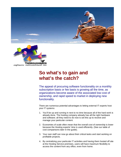



### **So what's to gain and what's the catch?**

The appeal of procuring software functionality on a monthly subscription basis or fee basis is growing all the time, as organizations become aware of the associated low cost of ownership, and rapid speed to market in deploying new functionality.

There are numerous potential advantages to letting external IT experts host your IT systems

- 1. You'll be up and running in next to no time because all of the hard work is already done. The hosting company already has all the right hardware and software; all they need to do now is set this up to receive and manage your particular content.
- 2. Economies of scale often mean that the overall cost of ownership is lower because the Hosting experts' time is used efficiently. (See our table of cost comparisons later in the guide).
- 3. Your own staff can now go about their critical tasks and start working on profitable projects.
- 4. By centralizing your particular IT activities and having them hosted off site at the Hosting Service premises, users will have maximum flexibility to access the content from any office, even from home.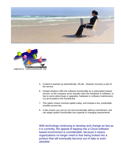



- 5. Content is backed up automatically, off-site. Disaster recovery is part of the service
- 6. Hosted solutions offer the software functionality as a subscription-based service, so the company never actually owns the hardware or software, or has to worry about bugs or upgrades, hardware or software maintenance, it is all included in the monthly fee.
- 7. This option means minimal capital outlay, and instead a low, predictable monthly service fee.
- 8. It also means you can try out new functionality without commitment, and can adapt system functionality and capacity to changing requirements.

With technology continuing to develop and change as fast as it is currently, the appeal of tapping into a Cloud software based environment is considerable, because it means organizations no longer need to fear being locked into a product that will eventually become out of date or even obsolete.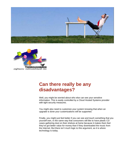



# **Can there really be any disadvantages?**

Well, you might be worried about who else can see your sensitive information. This is easily controlled by a Cloud Hosted Systems provider with tight security measures.

You might also need to customize your system knowing that when an upgrade is done your customizations will be supported.

Finally, you might just feel better if you can see and touch something that you yourself own, in the same way that consumers still like to have plastic CD cases gathering dust on their shelves at home because it makes them feel they've got better value for money than if they downloaded the music from the Internet. But there isn't much logic to this argument, as it is where technology is today.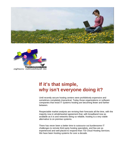



# **If it's that simple, why isn't everyone doing it?**

Until recently secure hosting centers were prohibitively expensive and sometimes completely impractical. Today those organizations or software companies that resist IT systems hosting are becoming fewer and farther between.

Respectable market analysts are revising their forecasts all the time, with the majority now in wholehearted agreement that, with broadband now as available as it is and networks being so reliable, hosting is a very viable alternative to on premise systems.

There has never been a better time to outsource out burdensome IT challenges to remote third party hosting specialists, and few are as experienced and well placed to respond than TSI Cloud Hosting Services. We have been hosting systems for over a decade.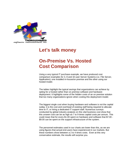

### **Let's talk money**

# **On-Premise Vs. Hosted Cost Comparison**

Using a very typical IT purchase example, we have produced cost comparison examples for 3, 8 and 32-user Server Systems (i.e. File Server, Application); one installed in-house/on premise and the other using our hosted model.

The tables highlight the typical savings that organizations can achieve by opting for a hosted rather than on premise software and hardware deployment. It highlights some of the hidden costs of an on premise solution that too many organizations ignore when costing this deployment model.

The biggest single cost when buying hardware and software is not the capital outlay; it is the cost and overhead of existing staff being required to allocate time to IT, or hiring a dedicated IT support staff. Numerous surveys conducted by global industry analysts on this vital business cost show that this unseen cost can be as high as 7 to 9 times capital costs per annum. This could mean that for every \$1.00 spent on hardware and software that \$7.00 - \$9.00 can be spent on the support infrastructure of the system.

The personnel estimates used in our charts are lower than this, as we are using figures that actual end-users have experienced in our markets. But these numbers show between a 2 to 4 times costs. Even at this very conservative estimate, the results will surprise you.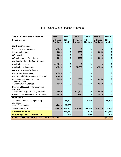### TSI 3-User Cloud Hosting Example

| <b>Solution-IV On-Demand Services</b>                  | Year 1                             | Year 1                       | Year <sub>2</sub>                  | Year <sub>2</sub>            | Year <sub>3</sub>                  | Year <sub>3</sub>            |
|--------------------------------------------------------|------------------------------------|------------------------------|------------------------------------|------------------------------|------------------------------------|------------------------------|
| 3- user system                                         | <b>In-House</b><br><b>Purchase</b> | <b>TSI</b><br><b>Hosting</b> | <b>In-House</b><br><b>Purchase</b> | <b>TSI</b><br><b>Hosting</b> | <b>In-House</b><br><b>Purchase</b> | <b>TSI</b><br><b>Hosting</b> |
| <b>Hardware/Software</b>                               |                                    |                              |                                    |                              |                                    |                              |
| <b>Typical Application server</b>                      | \$2,500                            | $\bf{0}$                     | $\bf{0}$                           | $\bf{0}$                     | $\bf{0}$                           | $\bf{0}$                     |
| Server Maintenance                                     | \$350                              | $\bf{0}$                     | \$350                              | 0                            | \$350                              | 0                            |
| OS Licensing                                           | \$350                              | $\bf{0}$                     | $\bf{0}$                           | $\bf{0}$                     | 0                                  | $\bf{0}$                     |
| OS Maintenance, Security etc.                          | \$500                              | $\bf{0}$                     | \$500                              | 0                            | \$500                              | $\bf{0}$                     |
| <b>Application licensing/Maintenance</b>               |                                    |                              |                                    |                              |                                    |                              |
| <b>Application License</b>                             | \$12,500                           | $\bf{0}$                     | $\bf{0}$                           | $\bf{0}$                     | $\bf{0}$                           | $\bf{0}$                     |
| <b>Application Maintenance</b>                         | \$2,500                            | $\bf{0}$                     | \$2,500                            | $\bf{0}$                     | \$2,500                            | $\bf{0}$                     |
| <b>Backup Hardware/Software</b>                        |                                    |                              |                                    |                              |                                    |                              |
| Backup Hardware System                                 | \$2,500                            | $\bf{0}$                     |                                    | 0                            |                                    | $\bf{0}$                     |
| Backup, Fail-Safe Software and Set-up                  | \$1,000                            | 0                            |                                    | 0                            |                                    | $\bf{0}$                     |
| Maintenance Contract Backup<br>Server/Software         | \$250                              | $\bf{0}$                     | \$250                              | 0                            | \$250                              | $\bf{0}$                     |
| Tapes/CD/DVD, Storage                                  | \$250                              | $\bf{0}$                     | \$250                              | $\bf{0}$                     | \$250                              | $\bf{0}$                     |
| <b>Personnel Executive Time &amp; Tech</b>             |                                    |                              |                                    |                              |                                    |                              |
| <b>Support</b><br>Tech Support/Mgt.1/4 salary \$50,000 | \$12,500                           | $\mathbf 0$                  | \$12,500                           | $\bf{0}$                     | \$12,500                           | $\bf{0}$                     |
| Potential User Downtime/Lost Time/day                  | \$420                              | $\bf{0}$                     | \$420                              | $\bf{0}$                     | \$420                              | $\bf{0}$                     |
| Other costs                                            |                                    |                              |                                    |                              |                                    |                              |
| TSI Hosted fees including back-up                      |                                    | \$5,100                      |                                    | \$5,100                      |                                    | \$5,100                      |
| replication                                            |                                    |                              |                                    |                              |                                    |                              |
| Set-up/Training fee                                    | \$5,000                            | \$5,000                      |                                    |                              |                                    |                              |
| <b>Total Expenditure</b>                               | \$40,620                           | \$10,100                     | \$16,770                           | \$5,100                      | \$16,770                           | \$5,100                      |
| <b>SAVINGS BY YEAR</b>                                 |                                    | \$30,520                     |                                    | \$11,670                     |                                    | \$11,670                     |
| % Hosting Cost vs. On-Premise                          |                                    | 25%                          |                                    | 30%                          |                                    | 30%                          |
| <b>ESTIMATED POTENTIAL SAVINGS OVER 3 YEARS</b>        |                                    |                              |                                    |                              |                                    | \$53,860                     |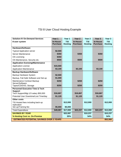### TSI 8 User Cloud Hosting Example

| <b>Solution-IV On-Demand Services</b>                        | Year 1                             | Year 1                       | Year <sub>2</sub>                  | Year <sub>2</sub>            | Year <sub>3</sub>                  | Year <sub>3</sub>            |
|--------------------------------------------------------------|------------------------------------|------------------------------|------------------------------------|------------------------------|------------------------------------|------------------------------|
| 8-user system                                                | <b>In-House</b><br><b>Purchase</b> | <b>TSI</b><br><b>Hosting</b> | <b>In-House</b><br><b>Purchase</b> | <b>TSI</b><br><b>Hosting</b> | <b>In-House</b><br><b>Purchase</b> | <b>TSI</b><br><b>Hosting</b> |
|                                                              |                                    |                              |                                    |                              |                                    |                              |
| <b>Hardware/Software</b>                                     |                                    |                              |                                    |                              |                                    |                              |
| <b>Typical Application server</b>                            | \$2,500                            |                              |                                    |                              |                                    |                              |
| Server Maintenance                                           | \$350                              |                              | \$350                              |                              | \$350                              |                              |
| OS Licensing                                                 | \$350                              |                              |                                    |                              |                                    |                              |
| OS Maintenance, Security etc.                                | \$500                              |                              | \$500                              |                              | \$500                              |                              |
| <b>Application licensing/Maintenance</b>                     |                                    |                              |                                    |                              |                                    |                              |
| <b>Application License</b>                                   | \$15,500                           |                              |                                    |                              |                                    |                              |
| <b>Application Maintenance</b>                               | \$3,100                            |                              | \$3,100                            |                              | \$3,100                            |                              |
| <b>Backup Hardware/Software</b>                              |                                    |                              |                                    |                              |                                    |                              |
| Backup Hardware System                                       | \$2,500                            |                              |                                    |                              |                                    |                              |
| Backup, Fail-Safe Software and Set-up                        | \$1,000                            |                              |                                    |                              |                                    |                              |
| Maintenance Contract Backup                                  | \$250                              |                              | \$250                              |                              | \$250                              |                              |
| Server/Software                                              |                                    |                              |                                    |                              |                                    |                              |
| Tapes/CD/DVD, Storage                                        | \$250                              |                              | \$250                              |                              | \$250                              |                              |
| <b>Personnel Executive Time &amp; Tech</b><br><b>Support</b> |                                    |                              |                                    |                              |                                    |                              |
| Tech Support/Mgt.1/3 salary \$50,000                         | \$16,667                           |                              | \$16,667                           |                              | \$16,667                           |                              |
| Potential User Downtime/Lost Time/day                        | \$1,120                            |                              | \$1,120                            |                              | \$1,120                            |                              |
| <b>Other costs</b>                                           |                                    |                              |                                    |                              |                                    |                              |
| TSI Hosted fees including back-up                            |                                    | \$12,000                     |                                    | \$12,000                     |                                    | \$12,000                     |
| replication                                                  |                                    |                              |                                    |                              |                                    |                              |
| Set-up/Training fee                                          | \$5,000                            | \$5,000                      |                                    |                              |                                    |                              |
| <b>Total Expenditure</b>                                     | \$49,087                           | \$17,000                     | \$22,237                           | \$12,000                     | \$22,237                           | \$12,000                     |
| <b>SAVINGS BY YEAR</b>                                       |                                    | \$32,087                     |                                    | \$10,237                     |                                    | \$10,237                     |
| % Hosting Cost vs. On-Premise                                |                                    | 35%                          |                                    | 54%                          |                                    | 54%                          |
| <b>ESTIMATED POTENTIAL SAVINGS OVER 3 YEARS</b>              |                                    |                              |                                    |                              |                                    | \$52,560                     |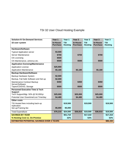### TSI 32 User Cloud Hosting Example

| <b>Solution-IV On-Demand Services</b>                       | Year 1          | Year 1         | Year <sub>2</sub> | $\overline{Y}$ ear 2 | Year <sub>3</sub> | Year <sub>3</sub> |
|-------------------------------------------------------------|-----------------|----------------|-------------------|----------------------|-------------------|-------------------|
| 32-user system                                              | <b>In-House</b> | <b>TSI</b>     | <b>In-House</b>   | <b>TSI</b>           | <b>In-House</b>   | <b>TSI</b>        |
|                                                             | <b>Purchase</b> | <b>Hosting</b> | <b>Purchase</b>   | <b>Hosting</b>       | <b>Purchase</b>   | <b>Hosting</b>    |
| <b>Hardware/Software</b>                                    |                 |                |                   |                      |                   |                   |
| <b>Typical Application server</b>                           | \$3,500         |                |                   |                      |                   |                   |
| Server Maintenance                                          | \$700           |                | \$700             |                      | \$700             |                   |
| OS Licensing                                                | \$500           |                |                   |                      |                   |                   |
| OS Maintenance, antivirus etc.                              | \$500           |                | \$500             |                      | \$500             |                   |
| <b>Application licensing/Maintenance</b>                    |                 |                |                   |                      |                   |                   |
| <b>Application License</b>                                  | \$25,900        |                |                   |                      |                   |                   |
| <b>Application Maintenance</b>                              | \$5,180         |                | \$5,180           |                      | \$5,180           |                   |
| <b>Backup Hardware/Software</b>                             |                 |                |                   |                      |                   |                   |
| <b>Backup Hardware System</b>                               | \$2,500         |                |                   |                      |                   |                   |
| Backup, Fail-Safe Software and Set-up                       | \$2,000         |                |                   |                      |                   |                   |
| Maintenance Contract Backup                                 | \$450           |                | \$450             |                      | \$450             |                   |
| Server/Software<br>Tapes/CD/DVD, Storage                    | \$500           |                | \$500             |                      | \$500             |                   |
| <b>Personnel Executive Time &amp; Tech</b>                  |                 |                |                   |                      |                   |                   |
| <b>Support</b>                                              |                 |                |                   |                      |                   |                   |
| Tech Support/Mgt. 50% @ 50,000/yr                           | \$25,000        |                | \$25,000          |                      | \$25,000          |                   |
| Potential User Downtime/Lost Time/day                       | \$4,480         |                | \$4,480           |                      | \$4,480           |                   |
| <b>Other costs</b>                                          |                 |                |                   |                      |                   |                   |
| TSI Hosted fees including back-up                           |                 | \$19,500       |                   | \$19,500             |                   | \$19,500          |
| replication                                                 | \$5,000         | \$5,000        |                   |                      |                   |                   |
| Set-up/Training fee                                         |                 |                |                   |                      |                   |                   |
| <b>Total Expenditure</b>                                    | \$76,210        | \$24,500       | \$36,810          | \$19,500             | \$36,910          | \$19,500          |
| <b>SAVINGS BY YEAR</b>                                      |                 | \$51,710       |                   | \$17,310             |                   | \$17,310          |
| % Hosting Cost vs. On-Premise                               |                 | 32%            |                   | 53%                  |                   | 53%               |
| <b>ESTIMATED POTENTIAL SAVINGS OVER 3 YEARS</b><br>\$86,330 |                 |                |                   |                      |                   |                   |